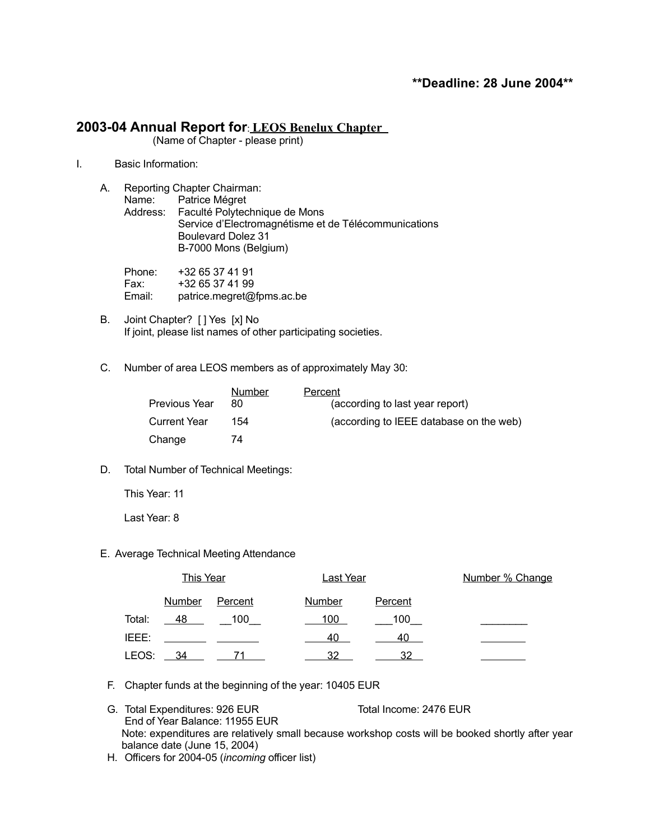# **2003-04 Annual Report for**: **LEOS Benelux Chapter**

(Name of Chapter - please print)

I. Basic Information:

| А. | Reporting Chapter Chairman: |                                                      |  |
|----|-----------------------------|------------------------------------------------------|--|
|    |                             | Name: Patrice Mégret                                 |  |
|    |                             | Address: Faculté Polytechnique de Mons               |  |
|    |                             | Service d'Electromagnétisme et de Télécommunications |  |
|    |                             | <b>Boulevard Dolez 31</b>                            |  |
|    |                             | B-7000 Mons (Belgium)                                |  |
|    |                             |                                                      |  |

| Phone: | +32 65 37 41 91           |
|--------|---------------------------|
| Fax:   | +32 65 37 41 99           |
| Email: | patrice.megret@fpms.ac.be |

- B. Joint Chapter? [ ] Yes [x] No If joint, please list names of other participating societies.
- C. Number of area LEOS members as of approximately May 30:

|                     | Number | Percent                                 |
|---------------------|--------|-----------------------------------------|
| Previous Year       | 80     | (according to last year report)         |
| <b>Current Year</b> | 154    | (according to IEEE database on the web) |
| Change              | 74     |                                         |

D. Total Number of Technical Meetings:

This Year: 11

Last Year: 8

E. Average Technical Meeting Attendance

|        | <b>This Year</b> |                | <b>Last Year</b> |                | Number % Change |
|--------|------------------|----------------|------------------|----------------|-----------------|
|        | <b>Number</b>    | <b>Percent</b> | <b>Number</b>    | <b>Percent</b> |                 |
| Total: | 48               | 100            | 100              | 100            |                 |
| IEEE:  |                  |                | 40               | 40             |                 |
| LEOS:  | 34               |                | 32               | 32             |                 |

- F. Chapter funds at the beginning of the year: 10405 EUR
- G. Total Expenditures: 926 EUR Total Income: 2476 EUR End of Year Balance: 11955 EUR Note: expenditures are relatively small because workshop costs will be booked shortly after year balance date (June 15, 2004)
- H. Officers for 2004-05 (*incoming* officer list)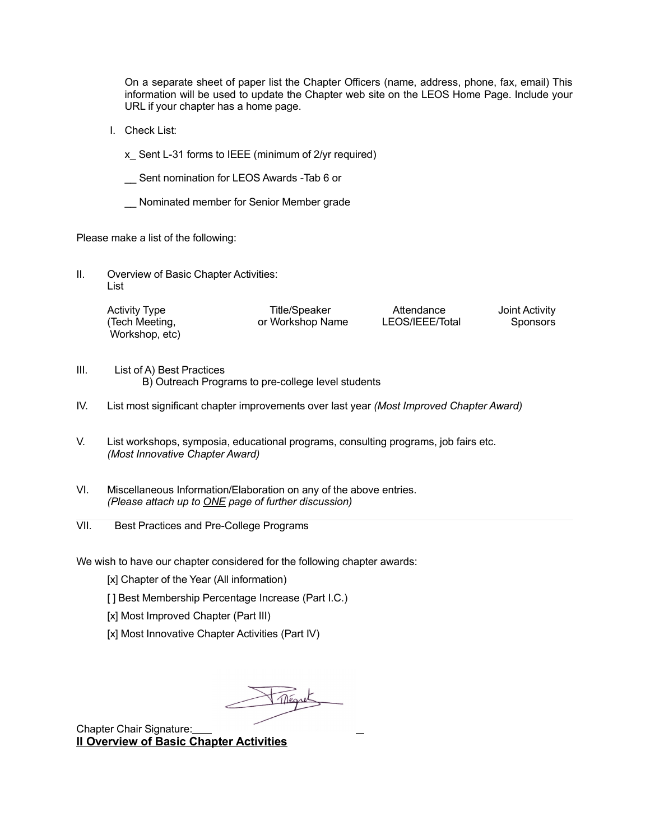On a separate sheet of paper list the Chapter Officers (name, address, phone, fax, email) This information will be used to update the Chapter web site on the LEOS Home Page. Include your URL if your chapter has a home page.

I. Check List:

x\_ Sent L-31 forms to IEEE (minimum of 2/yr required)

- \_\_ Sent nomination for LEOS Awards -Tab 6 or
- \_\_ Nominated member for Senior Member grade

Please make a list of the following:

II. Overview of Basic Chapter Activities: List

| <b>Activity Type</b> | Title/Speaker    | Attendance      | Joint Activity |
|----------------------|------------------|-----------------|----------------|
| (Tech Meeting,       | or Workshop Name | LEOS/IEEE/Total | Sponsors       |
| Workshop, etc)       |                  |                 |                |

- III. List of A) Best Practices B) Outreach Programs to pre-college level students
- IV. List most significant chapter improvements over last year *(Most Improved Chapter Award)*
- V. List workshops, symposia, educational programs, consulting programs, job fairs etc. *(Most Innovative Chapter Award)*
- VI. Miscellaneous Information/Elaboration on any of the above entries. *(Please attach up to ONE page of further discussion)*
- VII. Best Practices and Pre-College Programs

We wish to have our chapter considered for the following chapter awards:

- [x] Chapter of the Year (All information)
- [ ] Best Membership Percentage Increase (Part I.C.)
- [x] Most Improved Chapter (Part III)
- [x] Most Innovative Chapter Activities (Part IV)

Mégret

Chapter Chair Signature: **II Overview of Basic Chapter Activities**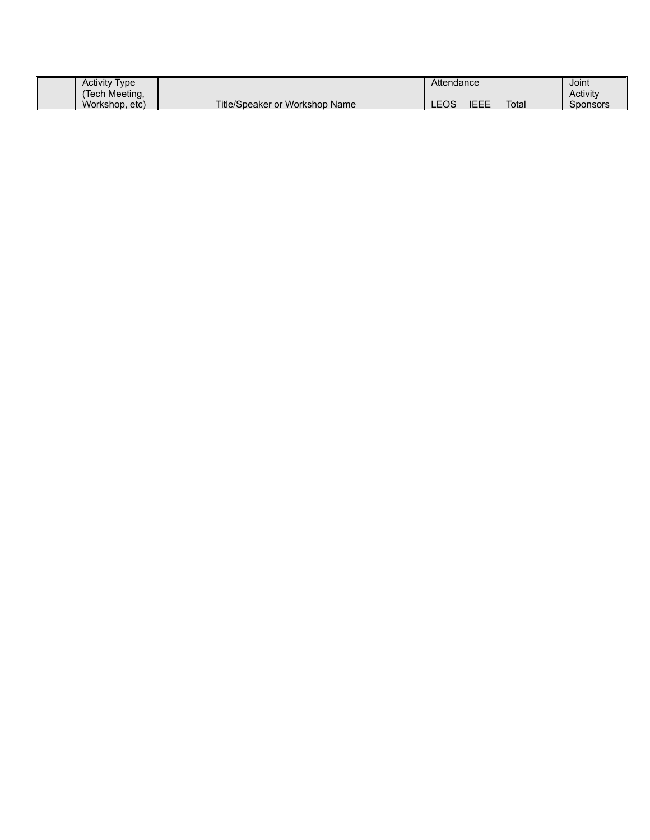| <b>Activity Type</b>             |                                | Attendance |             |       | Joint                       |
|----------------------------------|--------------------------------|------------|-------------|-------|-----------------------------|
| (Tech Meeting,<br>Workshop, etc) | Title/Speaker or Workshop Name | LEOS       | <b>IEEE</b> | Total | Activity<br><b>Sponsors</b> |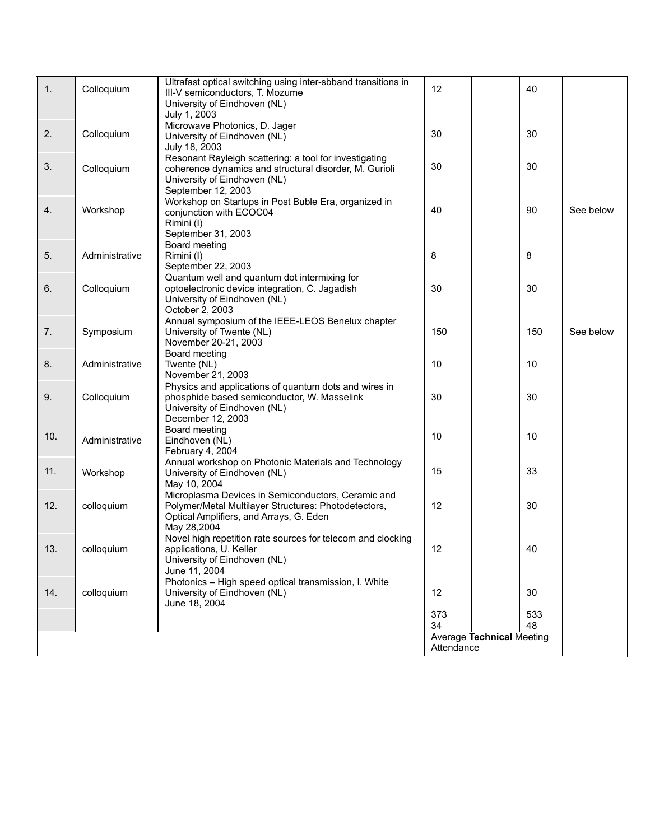| $\mathbf{1}$ . | Colloquium     | Ultrafast optical switching using inter-sbband transitions in<br>III-V semiconductors, T. Mozume | 12                                             | 40  |           |  |
|----------------|----------------|--------------------------------------------------------------------------------------------------|------------------------------------------------|-----|-----------|--|
|                |                | University of Eindhoven (NL)                                                                     |                                                |     |           |  |
|                |                | July 1, 2003                                                                                     |                                                |     |           |  |
| 2.             | Colloquium     | Microwave Photonics, D. Jager                                                                    | 30                                             | 30  |           |  |
|                |                | University of Eindhoven (NL)                                                                     |                                                |     |           |  |
|                |                | July 18, 2003<br>Resonant Rayleigh scattering: a tool for investigating                          |                                                |     |           |  |
| 3.             | Colloquium     | coherence dynamics and structural disorder, M. Gurioli                                           | 30                                             | 30  |           |  |
|                |                | University of Eindhoven (NL)                                                                     |                                                |     |           |  |
|                |                | September 12, 2003                                                                               |                                                |     |           |  |
|                |                | Workshop on Startups in Post Buble Era, organized in                                             |                                                |     |           |  |
| 4.             | Workshop       | conjunction with ECOC04                                                                          | 40                                             | 90  | See below |  |
|                |                | Rimini (I)                                                                                       |                                                |     |           |  |
|                |                | September 31, 2003                                                                               |                                                |     |           |  |
|                |                | Board meeting                                                                                    |                                                |     |           |  |
| 5.             | Administrative | Rimini (I)                                                                                       | 8                                              | 8   |           |  |
|                |                | September 22, 2003                                                                               |                                                |     |           |  |
| 6.             | Colloquium     | Quantum well and quantum dot intermixing for<br>optoelectronic device integration, C. Jagadish   | 30                                             | 30  |           |  |
|                |                | University of Eindhoven (NL)                                                                     |                                                |     |           |  |
|                |                | October 2, 2003                                                                                  |                                                |     |           |  |
|                |                | Annual symposium of the IEEE-LEOS Benelux chapter                                                |                                                |     |           |  |
| 7.             | Symposium      | University of Twente (NL)                                                                        | 150                                            | 150 | See below |  |
|                |                | November 20-21, 2003                                                                             |                                                |     |           |  |
|                |                | Board meeting                                                                                    |                                                |     |           |  |
| 8.             | Administrative | Twente (NL)                                                                                      | 10                                             | 10  |           |  |
|                |                | November 21, 2003                                                                                |                                                |     |           |  |
|                |                | Physics and applications of quantum dots and wires in                                            |                                                |     |           |  |
| 9.             | Colloquium     | phosphide based semiconductor, W. Masselink<br>University of Eindhoven (NL)                      | 30                                             | 30  |           |  |
|                |                | December 12, 2003                                                                                |                                                |     |           |  |
|                |                | Board meeting                                                                                    |                                                |     |           |  |
| 10.            | Administrative | Eindhoven (NL)                                                                                   | 10                                             | 10  |           |  |
|                |                | February 4, 2004                                                                                 |                                                |     |           |  |
|                |                | Annual workshop on Photonic Materials and Technology                                             |                                                |     |           |  |
| 11.            | Workshop       | University of Eindhoven (NL)                                                                     | 15                                             | 33  |           |  |
|                |                | May 10, 2004                                                                                     |                                                |     |           |  |
|                |                | Microplasma Devices in Semiconductors, Ceramic and                                               |                                                |     |           |  |
| 12.            | colloquium     | Polymer/Metal Multilayer Structures: Photodetectors,                                             | 12                                             | 30  |           |  |
|                |                | Optical Amplifiers, and Arrays, G. Eden<br>May 28,2004                                           |                                                |     |           |  |
|                |                | Novel high repetition rate sources for telecom and clocking                                      |                                                |     |           |  |
| 13.            | colloquium     | applications, U. Keller                                                                          | 12                                             | 40  |           |  |
|                |                | University of Eindhoven (NL)                                                                     |                                                |     |           |  |
|                |                | June 11, 2004                                                                                    |                                                |     |           |  |
|                |                | Photonics - High speed optical transmission, I. White                                            |                                                |     |           |  |
| 14.            | colloquium     | University of Eindhoven (NL)                                                                     | 12                                             | 30  |           |  |
|                |                | June 18, 2004                                                                                    |                                                |     |           |  |
|                |                |                                                                                                  | 373                                            | 533 |           |  |
|                |                |                                                                                                  | 34                                             | 48  |           |  |
|                |                |                                                                                                  | <b>Average Technical Meeting</b><br>Attendance |     |           |  |
|                |                |                                                                                                  |                                                |     |           |  |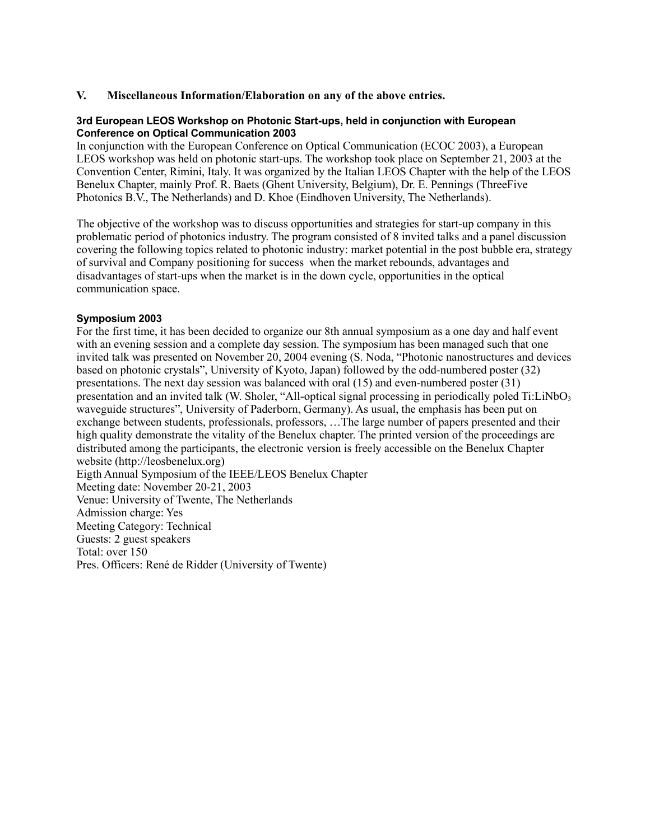# **V. Miscellaneous Information/Elaboration on any of the above entries.**

### **3rd European LEOS Workshop on Photonic Start-ups, held in conjunction with European Conference on Optical Communication 2003**

In conjunction with the European Conference on Optical Communication (ECOC 2003), a European LEOS workshop was held on photonic start-ups. The workshop took place on September 21, 2003 at the Convention Center, Rimini, Italy. It was organized by the Italian LEOS Chapter with the help of the LEOS Benelux Chapter, mainly Prof. R. Baets (Ghent University, Belgium), Dr. E. Pennings (ThreeFive Photonics B.V., The Netherlands) and D. Khoe (Eindhoven University, The Netherlands).

The objective of the workshop was to discuss opportunities and strategies for start-up company in this problematic period of photonics industry. The program consisted of 8 invited talks and a panel discussion covering the following topics related to photonic industry: market potential in the post bubble era, strategy of survival and Company positioning for success when the market rebounds, advantages and disadvantages of start-ups when the market is in the down cycle, opportunities in the optical communication space.

# **Symposium 2003**

For the first time, it has been decided to organize our 8th annual symposium as a one day and half event with an evening session and a complete day session. The symposium has been managed such that one invited talk was presented on November 20, 2004 evening (S. Noda, "Photonic nanostructures and devices based on photonic crystals", University of Kyoto, Japan) followed by the odd-numbered poster (32) presentations. The next day session was balanced with oral (15) and even-numbered poster (31) presentation and an invited talk (W. Sholer, "All-optical signal processing in periodically poled Ti:LiNbO<sub>3</sub> waveguide structures", University of Paderborn, Germany). As usual, the emphasis has been put on exchange between students, professionals, professors, …The large number of papers presented and their high quality demonstrate the vitality of the Benelux chapter. The printed version of the proceedings are distributed among the participants, the electronic version is freely accessible on the Benelux Chapter website (http://leosbenelux.org) Eigth Annual Symposium of the IEEE/LEOS Benelux Chapter

Meeting date: November 20-21, 2003

Venue: University of Twente, The Netherlands

Admission charge: Yes

Meeting Category: Technical

Guests: 2 guest speakers

Total: over 150

Pres. Officers: René de Ridder (University of Twente)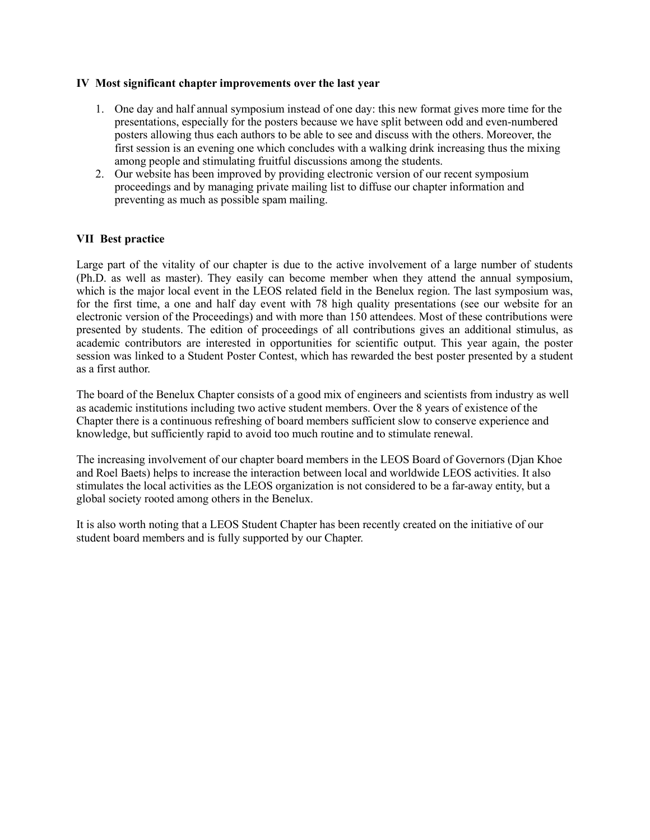# **IV Most significant chapter improvements over the last year**

- 1. One day and half annual symposium instead of one day: this new format gives more time for the presentations, especially for the posters because we have split between odd and even-numbered posters allowing thus each authors to be able to see and discuss with the others. Moreover, the first session is an evening one which concludes with a walking drink increasing thus the mixing among people and stimulating fruitful discussions among the students.
- 2. Our website has been improved by providing electronic version of our recent symposium proceedings and by managing private mailing list to diffuse our chapter information and preventing as much as possible spam mailing.

# **VII Best practice**

Large part of the vitality of our chapter is due to the active involvement of a large number of students (Ph.D. as well as master). They easily can become member when they attend the annual symposium, which is the major local event in the LEOS related field in the Benelux region. The last symposium was, for the first time, a one and half day event with 78 high quality presentations (see our website for an electronic version of the Proceedings) and with more than 150 attendees. Most of these contributions were presented by students. The edition of proceedings of all contributions gives an additional stimulus, as academic contributors are interested in opportunities for scientific output. This year again, the poster session was linked to a Student Poster Contest, which has rewarded the best poster presented by a student as a first author.

The board of the Benelux Chapter consists of a good mix of engineers and scientists from industry as well as academic institutions including two active student members. Over the 8 years of existence of the Chapter there is a continuous refreshing of board members sufficient slow to conserve experience and knowledge, but sufficiently rapid to avoid too much routine and to stimulate renewal.

The increasing involvement of our chapter board members in the LEOS Board of Governors (Djan Khoe and Roel Baets) helps to increase the interaction between local and worldwide LEOS activities. It also stimulates the local activities as the LEOS organization is not considered to be a far-away entity, but a global society rooted among others in the Benelux.

It is also worth noting that a LEOS Student Chapter has been recently created on the initiative of our student board members and is fully supported by our Chapter.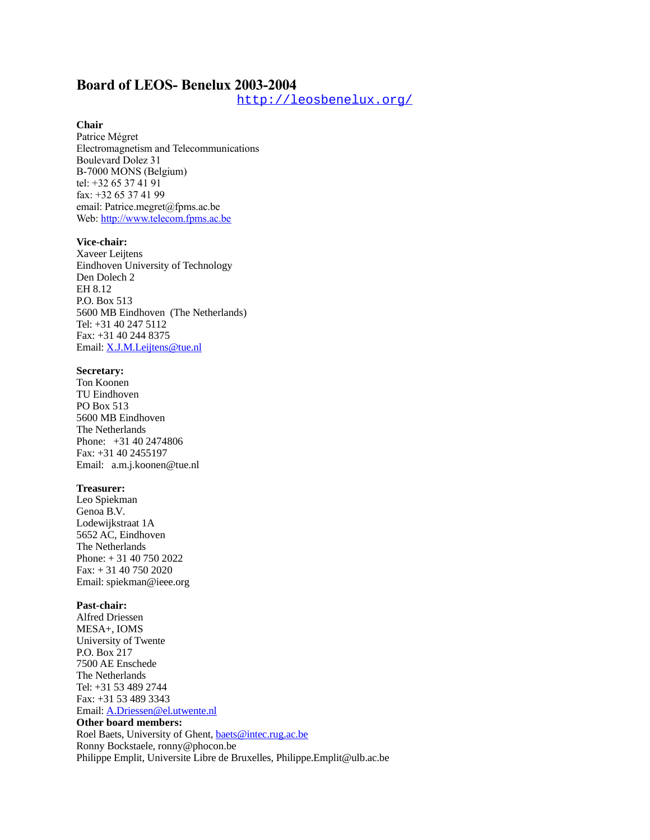# **Board of LEOS- Benelux 2003-2004**

<http://leosbenelux.org/>

### **Chair**

Patrice Mégret Electromagnetism and Telecommunications Boulevard Dolez 31 B-7000 MONS (Belgium) tel: +32 65 37 41 91 fax: +32 65 37 41 99 email: Patrice.megret@fpms.ac.be Web: [http://www.telecom.fpms.ac.be](http://www.telecom.fpms.ac.be/)

#### **Vice-chair:**

Xaveer Leijtens Eindhoven University of Technology Den Dolech 2 EH 8.12 P.O. Box 513 5600 MB Eindhoven (The Netherlands) Tel: +31 40 247 5112 Fax: +31 40 244 8375 Email: [X.J.M.Leijtens@tue.nl](mailto:X.J.M.Leijtens@tue.nl)

### **Secretary:**

Ton Koonen TU Eindhoven PO Box 513 5600 MB Eindhoven The Netherlands Phone: +31 40 2474806 Fax: +31 40 2455197 Email: a.m.j.koonen@tue.nl

### **Treasurer:**

Leo Spiekman Genoa B.V. Lodewijkstraat 1A 5652 AC, Eindhoven The Netherlands Phone: + 31 40 750 2022 Fax: + 31 40 750 2020 Email: spiekman@ieee.org

#### **Past-chair:**

Alfred Driessen MESA+, IOMS University of Twente P.O. Box 217 7500 AE Enschede The Netherlands Tel: +31 53 489 2744 Fax: +31 53 489 3343 Email: [A.Driessen@el.utwente.nl](mailto:A.Driessen@tn.utwente.nl) **Other board members:** Roel Baets, University of Ghent, [baets@intec.rug.ac.be](mailto:baets@intec.rug.ac.be) Ronny Bockstaele, ronny@phocon.be Philippe Emplit, Universite Libre de Bruxelles, Philippe.Emplit@ulb.ac.be